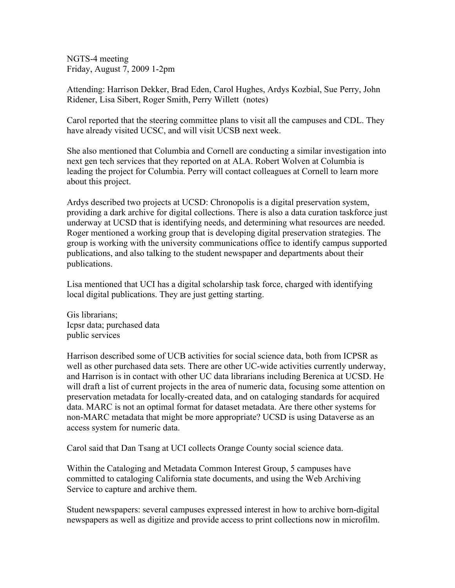NGTS-4 meeting Friday, August 7, 2009 1-2pm

Attending: Harrison Dekker, Brad Eden, Carol Hughes, Ardys Kozbial, Sue Perry, John Ridener, Lisa Sibert, Roger Smith, Perry Willett (notes)

Carol reported that the steering committee plans to visit all the campuses and CDL. They have already visited UCSC, and will visit UCSB next week.

She also mentioned that Columbia and Cornell are conducting a similar investigation into next gen tech services that they reported on at ALA. Robert Wolven at Columbia is leading the project for Columbia. Perry will contact colleagues at Cornell to learn more about this project.

Ardys described two projects at UCSD: Chronopolis is a digital preservation system, providing a dark archive for digital collections. There is also a data curation taskforce just underway at UCSD that is identifying needs, and determining what resources are needed. Roger mentioned a working group that is developing digital preservation strategies. The group is working with the university communications office to identify campus supported publications, and also talking to the student newspaper and departments about their publications.

Lisa mentioned that UCI has a digital scholarship task force, charged with identifying local digital publications. They are just getting starting.

Gis librarians; Icpsr data; purchased data public services

Harrison described some of UCB activities for social science data, both from ICPSR as well as other purchased data sets. There are other UC-wide activities currently underway, and Harrison is in contact with other UC data librarians including Berenica at UCSD. He will draft a list of current projects in the area of numeric data, focusing some attention on preservation metadata for locally-created data, and on cataloging standards for acquired data. MARC is not an optimal format for dataset metadata. Are there other systems for non-MARC metadata that might be more appropriate? UCSD is using Dataverse as an access system for numeric data.

Carol said that Dan Tsang at UCI collects Orange County social science data.

Within the Cataloging and Metadata Common Interest Group, 5 campuses have committed to cataloging California state documents, and using the Web Archiving Service to capture and archive them.

Student newspapers: several campuses expressed interest in how to archive born-digital newspapers as well as digitize and provide access to print collections now in microfilm.